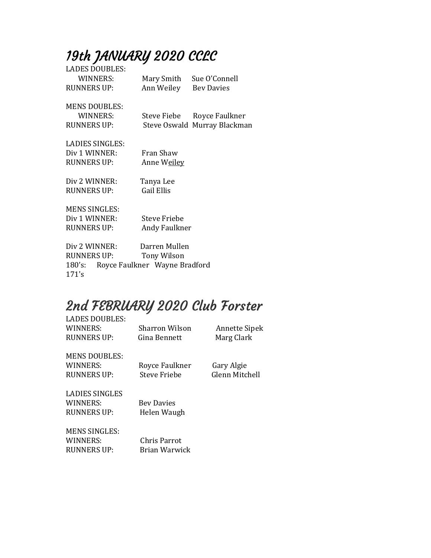# 19th JANUARY 2020 CCLC

| <b>LADES DOUBLES:</b>                   |                       |                              |  |
|-----------------------------------------|-----------------------|------------------------------|--|
| WINNERS:                                | Mary Smith            | Sue O'Connell                |  |
| <b>RUNNERS UP:</b>                      | Ann Weiley Bey Davies |                              |  |
|                                         |                       |                              |  |
| <b>MENS DOUBLES:</b>                    |                       |                              |  |
| WINNERS:                                |                       | Steve Fiebe Royce Faulkner   |  |
| <b>RUNNERS UP:</b>                      |                       | Steve Oswald Murray Blackman |  |
|                                         |                       |                              |  |
| LADIES SINGLES:                         |                       |                              |  |
| Div 1 WINNER:                           | Fran Shaw             |                              |  |
| RUNNERS UP:                             | Anne W <u>eiley</u>   |                              |  |
|                                         |                       |                              |  |
| Div 2 WINNER:                           | Tanya Lee             |                              |  |
| <b>RUNNERS UP:</b>                      | Gail Ellis            |                              |  |
|                                         |                       |                              |  |
| <b>MENS SINGLES:</b>                    |                       |                              |  |
| Div 1 WINNER:                           | Steve Friebe          |                              |  |
| RUNNERS UP:                             | Andy Faulkner         |                              |  |
|                                         |                       |                              |  |
| Div 2 WINNER:                           | Darren Mullen         |                              |  |
| RUNNERS UP:                             | Tony Wilson           |                              |  |
| Royce Faulkner Wayne Bradford<br>180's: |                       |                              |  |
|                                         |                       |                              |  |

### 2nd FEBRUARY 2020 Club Forster

171's

| <b>LADES DOUBLES:</b> |                   |                      |
|-----------------------|-------------------|----------------------|
| WINNERS:              | Sharron Wilson    | <b>Annette Sipek</b> |
| RUNNERS UP:           | Gina Bennett      | Marg Clark           |
| <b>MENS DOUBLES:</b>  |                   |                      |
| WINNERS:              | Royce Faulkner    | Gary Algie           |
| <b>RUNNERS UP:</b>    | Steve Friebe      | Glenn Mitchell       |
| LADIES SINGLES        |                   |                      |
| WINNERS:              | <b>Bey Davies</b> |                      |
| RUNNERS UP:           | Helen Waugh       |                      |
| <b>MENS SINGLES:</b>  |                   |                      |
| WINNERS:              | Chris Parrot      |                      |
| RUNNERS UP:           | Brian Warwick     |                      |
|                       |                   |                      |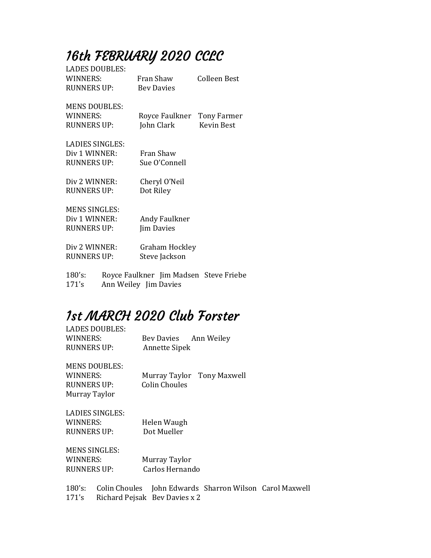## 16th FEBRUARY 2020 CCLC

| <b>LADES DOUBLES:</b><br>WINNERS:<br><b>RUNNERS UP:</b>       | Fran Shaw<br><b>Bey Davies</b> |                                 | Colleen Best                                    |
|---------------------------------------------------------------|--------------------------------|---------------------------------|-------------------------------------------------|
| <b>MENS DOUBLES:</b><br>WINNERS:<br><b>RUNNERS UP:</b>        |                                | John Clark                      | Royce Faulkner Tony Farmer<br><b>Kevin Best</b> |
| <b>LADIES SINGLES:</b><br>Div 1 WINNER:<br><b>RUNNERS UP:</b> |                                | Fran Shaw<br>Sue O'Connell      |                                                 |
| Div 2 WINNER:<br><b>RUNNERS UP:</b>                           | Dot Riley                      | Cheryl O'Neil                   |                                                 |
| <b>MENS SINGLES:</b><br>Div 1 WINNER:<br><b>RUNNERS UP:</b>   |                                | Andy Faulkner<br>Jim Davies     |                                                 |
| Div 2 WINNER:<br><b>RUNNERS UP:</b>                           |                                | Graham Hockley<br>Steve Jackson |                                                 |
| 180's:                                                        |                                |                                 | Royce Faulkner Jim Madsen Steve Friebe          |

171's Ann Weiley Jim Davies

## 1st MARCH 2020 Club Forster

| LADES DOUBLES:       |                            |
|----------------------|----------------------------|
| WINNERS:             | Bey Davies Ann Weiley      |
| <b>RUNNERS UP:</b>   | <b>Annette Sipek</b>       |
| <b>MENS DOUBLES:</b> |                            |
| WINNERS:             | Murray Taylor Tony Maxwell |
| RUNNERS UP:          | Colin Choules              |
| Murray Taylor        |                            |
| LADIES SINGLES:      |                            |
| WINNERS:             | Helen Waugh                |
| RUNNERS UP:          | Dot Mueller                |
| <b>MENS SINGLES:</b> |                            |
| WINNERS:             | Murray Taylor              |
| RUNNERS UP:          | Carlos Hernando            |
|                      |                            |

180's: Colin Choules John Edwards Sharron Wilson Carol Maxwell 171's Richard Pejsak Bev Davies x 2